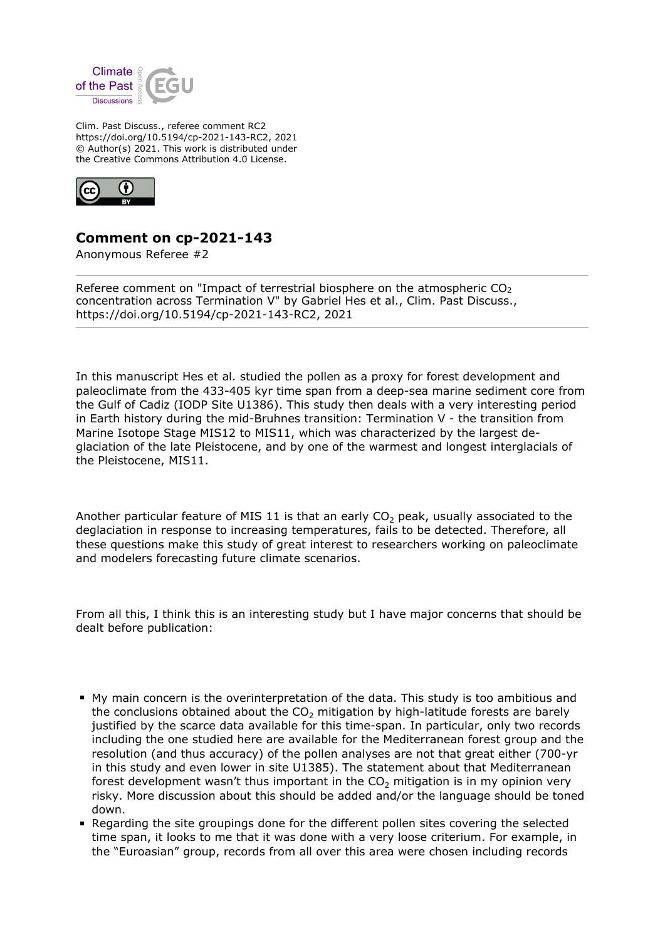

Clim. Past Discuss., referee comment RC2 https://doi.org/10.5194/cp-2021-143-RC2, 2021 © Author(s) 2021. This work is distributed under the Creative Commons Attribution 4.0 License.



## **Comment on cp-2021-143**

Anonymous Referee #2

Referee comment on "Impact of terrestrial biosphere on the atmospheric  $CO<sub>2</sub>$ concentration across Termination V" by Gabriel Hes et al., Clim. Past Discuss., https://doi.org/10.5194/cp-2021-143-RC2, 2021

In this manuscript Hes et al. studied the pollen as a proxy for forest development and paleoclimate from the 433-405 kyr time span from a deep-sea marine sediment core from the Gulf of Cadiz (IODP Site U1386). This study then deals with a very interesting period in Earth history during the mid-Bruhnes transition: Termination V - the transition from Marine Isotope Stage MIS12 to MIS11, which was characterized by the largest deglaciation of the late Pleistocene, and by one of the warmest and longest interglacials of the Pleistocene, MIS11.

Another particular feature of MIS 11 is that an early  $CO<sub>2</sub>$  peak, usually associated to the deglaciation in response to increasing temperatures, fails to be detected. Therefore, all these questions make this study of great interest to researchers working on paleoclimate and modelers forecasting future climate scenarios.

From all this, I think this is an interesting study but I have major concerns that should be dealt before publication:

- My main concern is the overinterpretation of the data. This study is too ambitious and the conclusions obtained about the  $CO<sub>2</sub>$  mitigation by high-latitude forests are barely justified by the scarce data available for this time-span. In particular, only two records including the one studied here are available for the Mediterranean forest group and the resolution (and thus accuracy) of the pollen analyses are not that great either (700-yr in this study and even lower in site U1385). The statement about that Mediterranean forest development wasn't thus important in the  $CO<sub>2</sub>$  mitigation is in my opinion very risky. More discussion about this should be added and/or the language should be toned down.
- Regarding the site groupings done for the different pollen sites covering the selected time span, it looks to me that it was done with a very loose criterium. For example, in the "Euroasian" group, records from all over this area were chosen including records